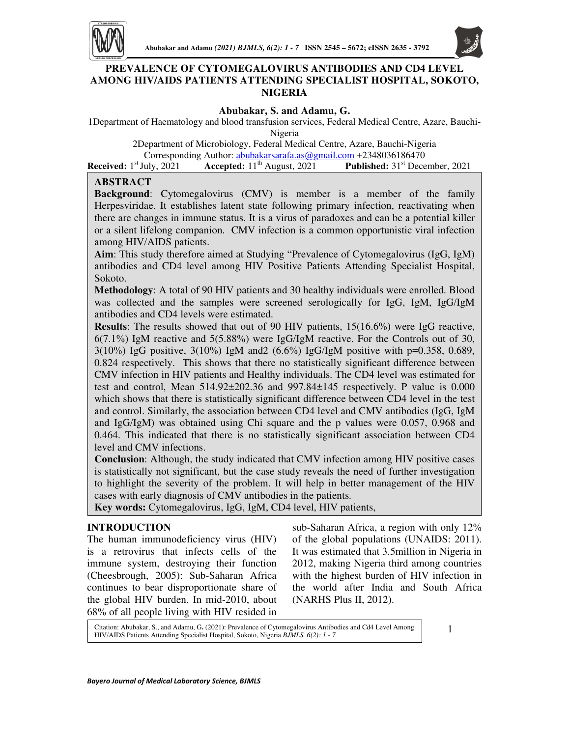

# **PREVALENCE OF CYTOMEGALOVIRUS ANTIBODIES AND CD4 LEVEL AMONG HIV/AIDS PATIENTS ATTENDING SPECIALIST HOSPITAL, SOKOTO, NIGERIA**

#### **Abubakar, S. and Adamu, G.**

1Department of Haematology and blood transfusion services, Federal Medical Centre, Azare, Bauchi-

Nigeria

2Department of Microbiology, Federal Medical Centre, Azare, Bauchi-Nigeria

Corresponding Author: *abubakarsarafa.as@gmail.com* +2348036186470<br>
uly, 2021 **Accepted:** 11<sup>th</sup> August, 2021 **Published:** 31<sup>st</sup> Dece **Received:** 1<sup>st</sup> July, 2021 **Accepted:** 11<sup>th</sup> August, 2021 **Published:** 31<sup>st</sup> December, 2021

### **ABSTRACT**

**Background**: Cytomegalovirus (CMV) is member is a member of the family Herpesviridae. It establishes latent state following primary infection, reactivating when there are changes in immune status. It is a virus of paradoxes and can be a potential killer or a silent lifelong companion. CMV infection is a common opportunistic viral infection among HIV/AIDS patients.

**Aim**: This study therefore aimed at Studying "Prevalence of Cytomegalovirus (IgG, IgM) antibodies and CD4 level among HIV Positive Patients Attending Specialist Hospital, Sokoto.

**Methodology**: A total of 90 HIV patients and 30 healthy individuals were enrolled. Blood was collected and the samples were screened serologically for IgG, IgM, IgG/IgM antibodies and CD4 levels were estimated.

**Results**: The results showed that out of 90 HIV patients, 15(16.6%) were IgG reactive, 6(7.1%) IgM reactive and 5(5.88%) were IgG/IgM reactive. For the Controls out of 30, 3(10%) IgG positive, 3(10%) IgM and2 (6.6%) IgG/IgM positive with p=0.358, 0.689, 0.824 respectively. This shows that there no statistically significant difference between CMV infection in HIV patients and Healthy individuals. The CD4 level was estimated for test and control, Mean 514.92±202.36 and 997.84±145 respectively. P value is 0.000 which shows that there is statistically significant difference between CD4 level in the test and control. Similarly, the association between CD4 level and CMV antibodies (IgG, IgM and IgG/IgM) was obtained using Chi square and the p values were 0.057, 0.968 and 0.464. This indicated that there is no statistically significant association between CD4 level and CMV infections.

**Conclusion**: Although, the study indicated that CMV infection among HIV positive cases is statistically not significant, but the case study reveals the need of further investigation to highlight the severity of the problem. It will help in better management of the HIV cases with early diagnosis of CMV antibodies in the patients.

**Key words:** Cytomegalovirus, IgG, IgM, CD4 level, HIV patients,

### **INTRODUCTION**

The human immunodeficiency virus (HIV) is a retrovirus that infects cells of the immune system, destroying their function (Cheesbrough, 2005): Sub-Saharan Africa continues to bear disproportionate share of the global HIV burden. In mid-2010, about 68% of all people living with HIV resided in

sub-Saharan Africa, a region with only 12% of the global populations (UNAIDS: 2011). It was estimated that 3.5million in Nigeria in 2012, making Nigeria third among countries with the highest burden of HIV infection in the world after India and South Africa (NARHS Plus II, 2012).

Citation: Abubakar, S., and Adamu, G**.** (2021): Prevalence of Cytomegalovirus Antibodies and Cd4 Level Among HIV/AIDS Patients Attending Specialist Hospital, Sokoto, Nigeria *BJMLS. 6(2): 1 - 7*

1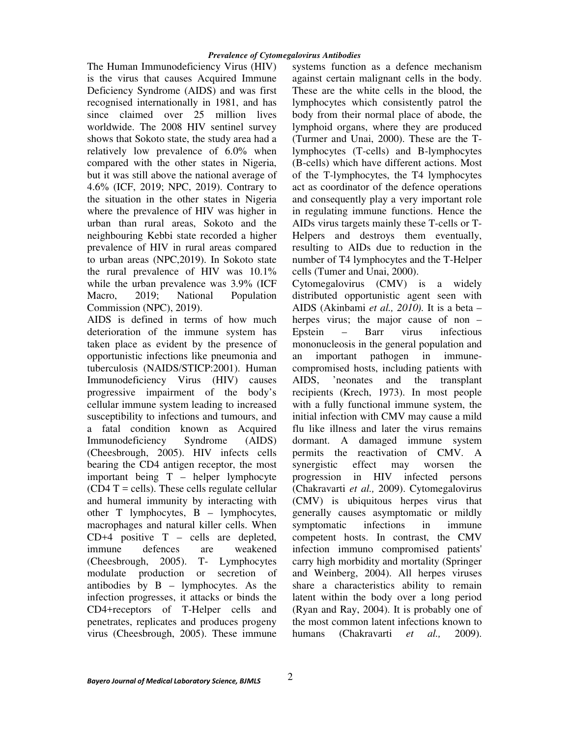The Human Immunodeficiency Virus (HIV) is the virus that causes Acquired Immune Deficiency Syndrome (AIDS) and was first recognised internationally in 1981, and has since claimed over 25 million lives worldwide. The 2008 HIV sentinel survey shows that Sokoto state, the study area had a relatively low prevalence of 6.0% when compared with the other states in Nigeria, but it was still above the national average of 4.6% (ICF, 2019; NPC, 2019). Contrary to the situation in the other states in Nigeria where the prevalence of HIV was higher in urban than rural areas, Sokoto and the neighbouring Kebbi state recorded a higher prevalence of HIV in rural areas compared to urban areas (NPC,2019). In Sokoto state the rural prevalence of HIV was 10.1% while the urban prevalence was 3.9% (ICF Macro, 2019; National Population Commission (NPC), 2019).

AIDS is defined in terms of how much deterioration of the immune system has taken place as evident by the presence of opportunistic infections like pneumonia and tuberculosis (NAIDS/STICP:2001). Human Immunodeficiency Virus (HIV) causes progressive impairment of the body's cellular immune system leading to increased susceptibility to infections and tumours, and a fatal condition known as Acquired Immunodeficiency Syndrome (AIDS) (Cheesbrough, 2005). HIV infects cells bearing the CD4 antigen receptor, the most important being T – helper lymphocyte  $(CD4 T =$  cells). These cells regulate cellular and humeral immunity by interacting with other  $T$  lymphocytes,  $B -$  lymphocytes, macrophages and natural killer cells. When  $CD+4$  positive  $T -$  cells are depleted, immune defences are weakened (Cheesbrough, 2005). T- Lymphocytes modulate production or secretion of antibodies by B – lymphocytes. As the infection progresses, it attacks or binds the CD4+receptors of T-Helper cells and penetrates, replicates and produces progeny virus (Cheesbrough, 2005). These immune

systems function as a defence mechanism against certain malignant cells in the body. These are the white cells in the blood, the lymphocytes which consistently patrol the body from their normal place of abode, the lymphoid organs, where they are produced (Turmer and Unai, 2000). These are the Tlymphocytes (T-cells) and B-lymphocytes (B-cells) which have different actions. Most of the T-lymphocytes, the T4 lymphocytes act as coordinator of the defence operations and consequently play a very important role in regulating immune functions. Hence the AIDs virus targets mainly these T-cells or T-Helpers and destroys them eventually, resulting to AIDs due to reduction in the number of T4 lymphocytes and the T-Helper cells (Tumer and Unai, 2000).

Cytomegalovirus (CMV) is a widely distributed opportunistic agent seen with AIDS (Akinbami *et al., 2010).* It is a beta – herpes virus; the major cause of non – Epstein – Barr virus infectious mononucleosis in the general population and an important pathogen in immunecompromised hosts, including patients with AIDS, 'neonates and the transplant recipients (Krech, 1973). In most people with a fully functional immune system, the initial infection with CMV may cause a mild flu like illness and later the virus remains dormant. A damaged immune system permits the reactivation of CMV. A synergistic effect may worsen the progression in HIV infected persons (Chakravarti *et al.,* 2009). Cytomegalovirus (CMV) is ubiquitous herpes virus that generally causes asymptomatic or mildly symptomatic infections in immune competent hosts. In contrast, the CMV infection immuno compromised patients' carry high morbidity and mortality (Springer and Weinberg, 2004). All herpes viruses share a characteristics ability to remain latent within the body over a long period (Ryan and Ray, 2004). It is probably one of the most common latent infections known to humans (Chakravarti *et al.,* 2009).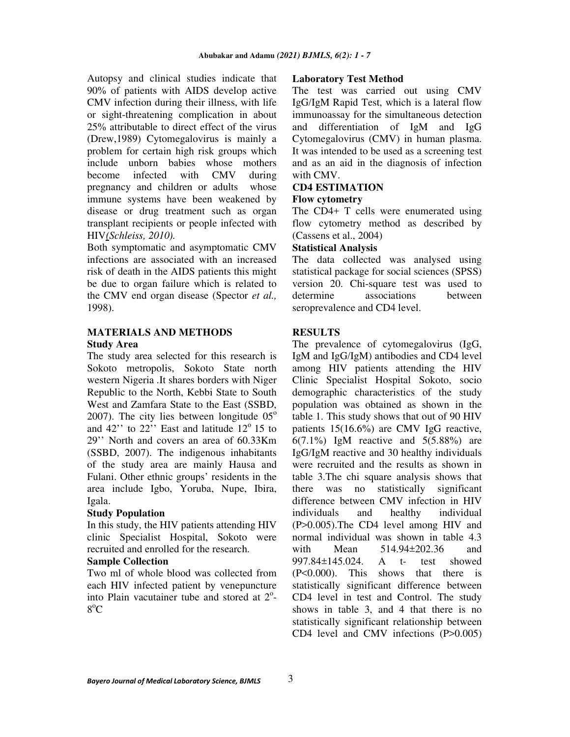Autopsy and clinical studies indicate that 90% of patients with AIDS develop active CMV infection during their illness, with life or sight-threatening complication in about 25% attributable to direct effect of the virus (Drew,1989) Cytomegalovirus is mainly a problem for certain high risk groups which include unborn babies whose mothers become infected with CMV during pregnancy and children or adults whose immune systems have been weakened by disease or drug treatment such as organ transplant recipients or people infected with HIV*(Schleiss, 2010).* 

Both symptomatic and asymptomatic CMV infections are associated with an increased risk of death in the AIDS patients this might be due to organ failure which is related to the CMV end organ disease (Spector *et al.,* 1998).

# **MATERIALS AND METHODS Study Area**

The study area selected for this research is Sokoto metropolis, Sokoto State north western Nigeria .It shares borders with Niger Republic to the North, Kebbi State to South West and Zamfara State to the East (SSBD, 2007). The city lies between longitude  $05^{\circ}$ and 42" to  $22$ " East and latitude  $12^{\circ}$  15 to 29'' North and covers an area of 60.33Km (SSBD, 2007). The indigenous inhabitants of the study area are mainly Hausa and Fulani. Other ethnic groups' residents in the area include Igbo, Yoruba, Nupe, Ibira, Igala.

# **Study Population**

In this study, the HIV patients attending HIV clinic Specialist Hospital, Sokoto were recruited and enrolled for the research.

### **Sample Collection**

Two ml of whole blood was collected from each HIV infected patient by venepuncture into Plain vacutainer tube and stored at 2°-8 <sup>o</sup>C

### **Laboratory Test Method**

The test was carried out using CMV IgG/IgM Rapid Test, which is a lateral flow immunoassay for the simultaneous detection and differentiation of IgM and IgG Cytomegalovirus (CMV) in human plasma. It was intended to be used as a screening test and as an aid in the diagnosis of infection with CMV.

## **CD4 ESTIMATION**

### **Flow cytometry**

The CD4+ T cells were enumerated using flow cytometry method as described by (Cassens et al., 2004)

### **Statistical Analysis**

The data collected was analysed using statistical package for social sciences (SPSS) version 20. Chi-square test was used to determine associations between seroprevalence and CD4 level.

# **RESULTS**

The prevalence of cytomegalovirus (IgG, IgM and IgG/IgM) antibodies and CD4 level among HIV patients attending the HIV Clinic Specialist Hospital Sokoto, socio demographic characteristics of the study population was obtained as shown in the table 1. This study shows that out of 90 HIV patients 15(16.6%) are CMV IgG reactive, 6(7.1%) IgM reactive and  $5(5.88%)$  are IgG/IgM reactive and 30 healthy individuals were recruited and the results as shown in table 3.The chi square analysis shows that there was no statistically significant difference between CMV infection in HIV individuals and healthy individual (P>0.005).The CD4 level among HIV and normal individual was shown in table 4.3 with Mean 514.94±202.36 and 997.84±145.024. A t- test showed (P<0.000). This shows that there is statistically significant difference between CD4 level in test and Control. The study shows in table 3, and 4 that there is no statistically significant relationship between CD4 level and CMV infections (P>0.005)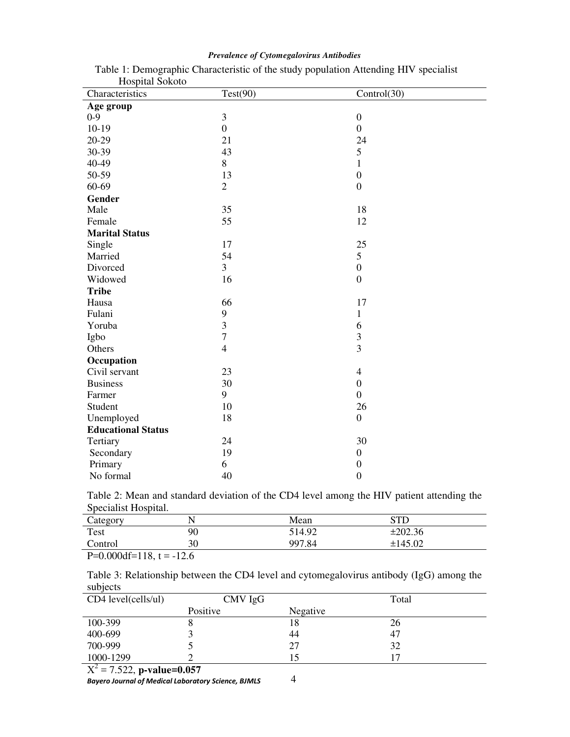| Trophan Donom<br>Characteristics | Test(90)                 | Control(30)             |
|----------------------------------|--------------------------|-------------------------|
|                                  |                          |                         |
| Age group<br>$0 - 9$             | 3                        | $\boldsymbol{0}$        |
| $10-19$                          | $\boldsymbol{0}$         | $\mathbf{0}$            |
| $20-29$                          | 21                       | 24                      |
| 30-39                            | 43                       | 5                       |
| 40-49                            | 8                        | $\mathbf{1}$            |
| 50-59                            | 13                       | $\boldsymbol{0}$        |
| 60-69                            | $\overline{2}$           | $\overline{0}$          |
|                                  |                          |                         |
| Gender<br>Male                   | 35                       | 18                      |
|                                  |                          |                         |
| Female                           | 55                       | 12                      |
| <b>Marital Status</b>            |                          |                         |
| Single                           | 17                       | 25                      |
| Married                          | 54                       | 5                       |
| Divorced                         | 3                        | $\boldsymbol{0}$        |
| Widowed                          | 16                       | $\boldsymbol{0}$        |
| <b>Tribe</b>                     |                          |                         |
| Hausa                            | 66                       | 17                      |
| Fulani                           | 9                        | $\mathbf{1}$            |
| Yoruba                           | $\overline{3}$           | 6                       |
| Igbo                             | $\overline{7}$           | $\overline{\mathbf{3}}$ |
| Others                           | $\overline{\mathcal{L}}$ | $\overline{3}$          |
| Occupation                       |                          |                         |
| Civil servant                    | 23                       | $\overline{4}$          |
| <b>Business</b>                  | 30                       | $\boldsymbol{0}$        |
| Farmer                           | 9                        | $\boldsymbol{0}$        |
| Student                          | 10                       | 26                      |
| Unemployed                       | 18                       | $\boldsymbol{0}$        |
| <b>Educational Status</b>        |                          |                         |
| Tertiary                         | 24                       | 30                      |
| Secondary                        | 19                       | $\boldsymbol{0}$        |
| Primary                          | 6                        | $\boldsymbol{0}$        |
| No formal                        | 40                       | $\boldsymbol{0}$        |

# *Prevalence of Cytomegalovirus Antibodies*

Table 1: Demographic Characteristic of the study population Attending HIV specialist Hospital Sokoto

Table 2: Mean and standard deviation of the CD4 level among the HIV patient attending the Specialist Hospital.

| Category                                                                                                                                                                                                                                                                                                                           |              | Mean   | STE     |  |
|------------------------------------------------------------------------------------------------------------------------------------------------------------------------------------------------------------------------------------------------------------------------------------------------------------------------------------|--------------|--------|---------|--|
| Test                                                                                                                                                                                                                                                                                                                               | 90           | 514.92 | ±202.36 |  |
| Control                                                                                                                                                                                                                                                                                                                            | 30           | 997.84 | ±145.02 |  |
| $\mathbf{D}$ $\mathbf{A}$ $\mathbf{A}$ $\mathbf{A}$ $\mathbf{A}$ $\mathbf{A}$ $\mathbf{A}$ $\mathbf{A}$ $\mathbf{A}$ $\mathbf{A}$ $\mathbf{A}$ $\mathbf{A}$ $\mathbf{A}$ $\mathbf{A}$ $\mathbf{A}$ $\mathbf{A}$ $\mathbf{A}$ $\mathbf{A}$ $\mathbf{A}$ $\mathbf{A}$ $\mathbf{A}$ $\mathbf{A}$ $\mathbf{A}$ $\mathbf{A}$ $\mathbf{$ | $1^{\prime}$ |        |         |  |

 $P=0.000df=118$ , t = -12.6

Table 3: Relationship between the CD4 level and cytomegalovirus antibody (IgG) among the subjects

| CD4 level(cells/ul)                   | CMV IgG  |          | Total |
|---------------------------------------|----------|----------|-------|
|                                       | Positive | Negative |       |
| 100-399                               |          | 18       | 26    |
| 400-699                               |          | 44       | 47    |
| 700-999                               |          | 27       | 32    |
| 1000-1299<br>$\overline{\phantom{a}}$ |          |          |       |

 $X^2 = 7.522$ , **p-value=0.057** 

*Bayero Journal of Medical Laboratory Science, BJMLS*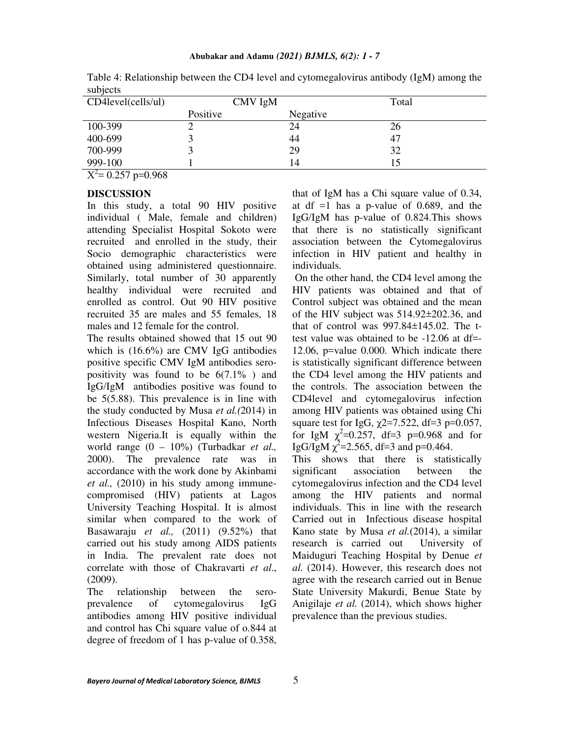| CD4level(cells/ul)                  | CMV IgM  |          | Total |
|-------------------------------------|----------|----------|-------|
|                                     | Positive | Negative |       |
| 100-399                             |          | 24       | 26    |
| 400-699                             |          | 44       | 47    |
| 700-999                             |          | 29       | 32    |
| 999-100<br>$\overline{\phantom{a}}$ |          | 14       |       |

Table 4: Relationship between the CD4 level and cytomegalovirus antibody (IgM) among the subjects

 $X^2$ = 0.257 p=0.968

#### **DISCUSSION**

In this study, a total 90 HIV positive individual ( Male, female and children) attending Specialist Hospital Sokoto were recruited and enrolled in the study, their Socio demographic characteristics were obtained using administered questionnaire. Similarly, total number of 30 apparently healthy individual were recruited and enrolled as control. Out 90 HIV positive recruited 35 are males and 55 females, 18 males and 12 female for the control.

The results obtained showed that 15 out 90 which is (16.6%) are CMV IgG antibodies positive specific CMV IgM antibodies seropositivity was found to be  $6(7.1\%)$  and IgG/IgM antibodies positive was found to be 5(5.88). This prevalence is in line with the study conducted by Musa *et al.(*2014) in Infectious Diseases Hospital Kano, North western Nigeria.It is equally within the world range (0 – 10%) (Turbadkar *et al.,* 2000). The prevalence rate was in accordance with the work done by Akinbami *et al.,* (2010) in his study among immunecompromised (HIV) patients at Lagos University Teaching Hospital. It is almost similar when compared to the work of Basawaraju *et al.,* (2011) (9.52%) that carried out his study among AIDS patients in India. The prevalent rate does not correlate with those of Chakravarti *et al*., (2009).

The relationship between the seroprevalence of cytomegalovirus IgG antibodies among HIV positive individual and control has Chi square value of o.844 at degree of freedom of 1 has p-value of 0.358,

that of IgM has a Chi square value of 0.34, at df  $=1$  has a p-value of 0.689, and the IgG/IgM has p-value of 0.824.This shows that there is no statistically significant association between the Cytomegalovirus infection in HIV patient and healthy in individuals.

 On the other hand, the CD4 level among the HIV patients was obtained and that of Control subject was obtained and the mean of the HIV subject was 514.92±202.36, and that of control was  $997.84 \pm 145.02$ . The ttest value was obtained to be -12.06 at df=- 12.06, p=value 0.000. Which indicate there is statistically significant difference between the CD4 level among the HIV patients and the controls. The association between the CD4level and cytomegalovirus infection among HIV patients was obtained using Chi square test for IgG,  $\chi$ 2=7.522, df=3 p=0.057, for IgM  $\chi^2$ =0.257, df=3 p=0.968 and for IgG/IgM  $\chi^2$ =2.565, df=3 and p=0.464.

This shows that there is statistically significant association between the cytomegalovirus infection and the CD4 level among the HIV patients and normal individuals. This in line with the research Carried out in Infectious disease hospital Kano state by Musa *et al.*(2014), a similar research is carried out University of Maiduguri Teaching Hospital by Denue *et al.* (2014). However, this research does not agree with the research carried out in Benue State University Makurdi, Benue State by Anigilaje *et al.* (2014), which shows higher prevalence than the previous studies.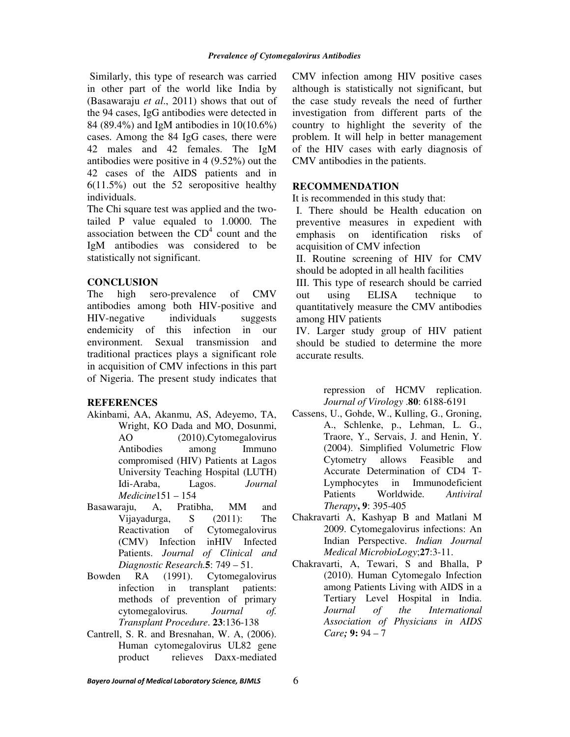Similarly, this type of research was carried in other part of the world like India by (Basawaraju *et al*., 2011) shows that out of the 94 cases, IgG antibodies were detected in 84 (89.4%) and IgM antibodies in 10(10.6%) cases. Among the 84 IgG cases, there were 42 males and 42 females. The IgM antibodies were positive in 4 (9.52%) out the 42 cases of the AIDS patients and in 6(11.5%) out the 52 seropositive healthy individuals.

The Chi square test was applied and the twotailed P value equaled to 1.0000. The association between the  $CD<sup>4</sup>$  count and the IgM antibodies was considered to be statistically not significant.

## **CONCLUSION**

The high sero-prevalence of CMV antibodies among both HIV-positive and HIV-negative individuals suggests endemicity of this infection in our environment. Sexual transmission and traditional practices plays a significant role in acquisition of CMV infections in this part of Nigeria. The present study indicates that

### **REFERENCES**

- Akinbami, AA, Akanmu, AS, Adeyemo, TA, Wright, KO Dada and MO, Dosunmi, AO (2010).Cytomegalovirus Antibodies among Immuno compromised (HIV) Patients at Lagos University Teaching Hospital (LUTH) Idi-Araba, Lagos. *Journal Medicine*151 – 154
- Basawaraju, A, Pratibha, MM and Vijayadurga, S (2011): The Reactivation of Cytomegalovirus (CMV) Infection inHIV Infected Patients. *Journal of Clinical and Diagnostic Research.***5**: 749 – 51.
- Bowden RA (1991). Cytomegalovirus infection in transplant patients: methods of prevention of primary cytomegalovirus*. Journal of. Transplant Procedure*. **23**:136-138
- Cantrell, S. R. and Bresnahan, W. A, (2006). Human cytomegalovirus UL82 gene product relieves Daxx-mediated

CMV infection among HIV positive cases although is statistically not significant, but the case study reveals the need of further investigation from different parts of the country to highlight the severity of the problem. It will help in better management of the HIV cases with early diagnosis of CMV antibodies in the patients.

# **RECOMMENDATION**

It is recommended in this study that:

I. There should be Health education on preventive measures in expedient with emphasis on identification risks of acquisition of CMV infection

II. Routine screening of HIV for CMV should be adopted in all health facilities

III. This type of research should be carried out using ELISA technique to quantitatively measure the CMV antibodies among HIV patients

IV. Larger study group of HIV patient should be studied to determine the more accurate results.

> repression of HCMV replication. *Journal of Virology* .**80**: 6188-6191

- Cassens, U., Gohde, W., Kulling, G., Groning, A., Schlenke, p., Lehman, L. G., Traore, Y., Servais, J. and Henin, Y. (2004). Simplified Volumetric Flow Cytometry allows Feasible and Accurate Determination of CD4 T-Lymphocytes in Immunodeficient Patients Worldwide*. Antiviral Therapy***, 9**: 395-405
- Chakravarti A, Kashyap B and Matlani M 2009. Cytomegalovirus infections: An Indian Perspective. *Indian Journal Medical MicrobioLogy*;**27**:3-11.
- Chakravarti, A, Tewari, S and Bhalla, P (2010). Human Cytomegalo Infection among Patients Living with AIDS in a Tertiary Level Hospital in India. *Journal of the International Association of Physicians in AIDS Care;* **9:** 94 – 7